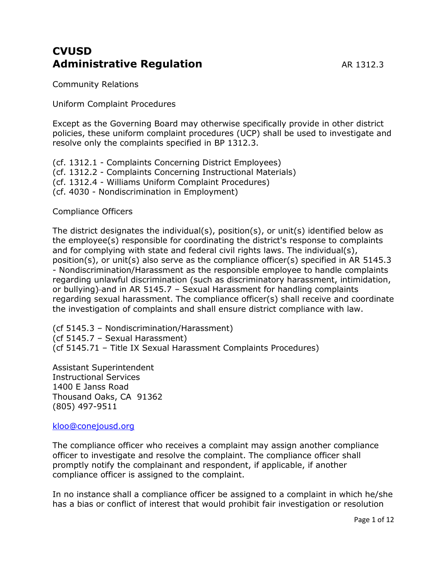# **CVUSD Administrative Requlation** AR 1312.3

Community Relations

### Uniform Complaint Procedures

Except as the Governing Board may otherwise specifically provide in other district policies, these uniform complaint procedures (UCP) shall be used to investigate and resolve only the complaints specified in BP 1312.3.

(cf. 1312.1 - Complaints Concerning District Employees)

- (cf. 1312.2 Complaints Concerning Instructional Materials)
- (cf. 1312.4 Williams Uniform Complaint Procedures)
- (cf. 4030 Nondiscrimination in Employment)

Compliance Officers

The district designates the individual(s), position(s), or unit(s) identified below as the employee(s) responsible for coordinating the district's response to complaints and for complying with state and federal civil rights laws. The individual(s), position(s), or unit(s) also serve as the compliance officer(s) specified in AR 5145.3 - Nondiscrimination/Harassment as the responsible employee to handle complaints regarding unlawful discrimination (such as discriminatory harassment, intimidation, or bullying)-and in AR 5145.7 – Sexual Harassment for handling complaints regarding sexual harassment. The compliance officer(s) shall receive and coordinate the investigation of complaints and shall ensure district compliance with law.

(cf 5145.3 – Nondiscrimination/Harassment) (cf 5145.7 – Sexual Harassment) (cf 5145.71 – Title IX Sexual Harassment Complaints Procedures)

Assistant Superintendent Instructional Services 1400 E Janss Road Thousand Oaks, CA 91362 (805) 497-9511

### [kloo@conejousd.org](mailto:biezza@conejousd.org)

The compliance officer who receives a complaint may assign another compliance officer to investigate and resolve the complaint. The compliance officer shall promptly notify the complainant and respondent, if applicable, if another compliance officer is assigned to the complaint.

In no instance shall a compliance officer be assigned to a complaint in which he/she has a bias or conflict of interest that would prohibit fair investigation or resolution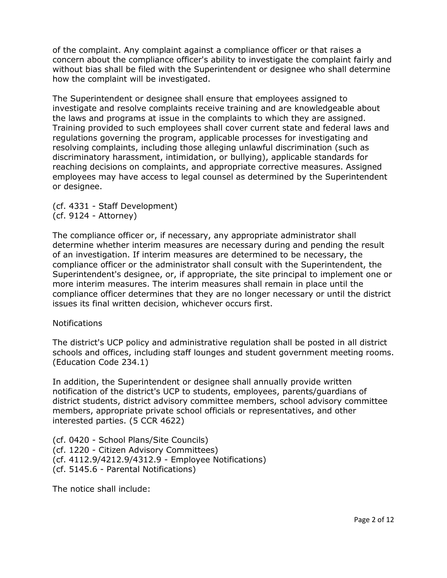of the complaint. Any complaint against a compliance officer or that raises a concern about the compliance officer's ability to investigate the complaint fairly and without bias shall be filed with the Superintendent or designee who shall determine how the complaint will be investigated.

The Superintendent or designee shall ensure that employees assigned to investigate and resolve complaints receive training and are knowledgeable about the laws and programs at issue in the complaints to which they are assigned. Training provided to such employees shall cover current state and federal laws and regulations governing the program, applicable processes for investigating and resolving complaints, including those alleging unlawful discrimination (such as discriminatory harassment, intimidation, or bullying), applicable standards for reaching decisions on complaints, and appropriate corrective measures. Assigned employees may have access to legal counsel as determined by the Superintendent or designee.

(cf. 4331 - Staff Development) (cf. 9124 - Attorney)

The compliance officer or, if necessary, any appropriate administrator shall determine whether interim measures are necessary during and pending the result of an investigation. If interim measures are determined to be necessary, the compliance officer or the administrator shall consult with the Superintendent, the Superintendent's designee, or, if appropriate, the site principal to implement one or more interim measures. The interim measures shall remain in place until the compliance officer determines that they are no longer necessary or until the district issues its final written decision, whichever occurs first.

### **Notifications**

The district's UCP policy and administrative regulation shall be posted in all district schools and offices, including staff lounges and student government meeting rooms. (Education Code 234.1)

In addition, the Superintendent or designee shall annually provide written notification of the district's UCP to students, employees, parents/guardians of district students, district advisory committee members, school advisory committee members, appropriate private school officials or representatives, and other interested parties. (5 CCR 4622)

(cf. 0420 - School Plans/Site Councils) (cf. 1220 - Citizen Advisory Committees) (cf. 4112.9/4212.9/4312.9 - Employee Notifications) (cf. 5145.6 - Parental Notifications)

The notice shall include: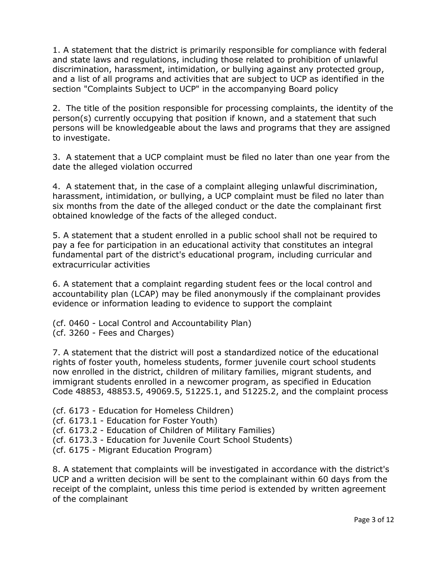1. A statement that the district is primarily responsible for compliance with federal and state laws and regulations, including those related to prohibition of unlawful discrimination, harassment, intimidation, or bullying against any protected group, and a list of all programs and activities that are subject to UCP as identified in the section "Complaints Subject to UCP" in the accompanying Board policy

2. The title of the position responsible for processing complaints, the identity of the person(s) currently occupying that position if known, and a statement that such persons will be knowledgeable about the laws and programs that they are assigned to investigate.

3. A statement that a UCP complaint must be filed no later than one year from the date the alleged violation occurred

4. A statement that, in the case of a complaint alleging unlawful discrimination, harassment, intimidation, or bullying, a UCP complaint must be filed no later than six months from the date of the alleged conduct or the date the complainant first obtained knowledge of the facts of the alleged conduct.

5. A statement that a student enrolled in a public school shall not be required to pay a fee for participation in an educational activity that constitutes an integral fundamental part of the district's educational program, including curricular and extracurricular activities

6. A statement that a complaint regarding student fees or the local control and accountability plan (LCAP) may be filed anonymously if the complainant provides evidence or information leading to evidence to support the complaint

(cf. 0460 - Local Control and Accountability Plan) (cf. 3260 - Fees and Charges)

7. A statement that the district will post a standardized notice of the educational rights of foster youth, homeless students, former juvenile court school students now enrolled in the district, children of military families, migrant students, and immigrant students enrolled in a newcomer program, as specified in Education Code 48853, 48853.5, 49069.5, 51225.1, and 51225.2, and the complaint process

(cf. 6173 - Education for Homeless Children)

(cf. 6173.1 - Education for Foster Youth)

(cf. 6173.2 - Education of Children of Military Families)

(cf. 6173.3 - Education for Juvenile Court School Students)

(cf. 6175 - Migrant Education Program)

8. A statement that complaints will be investigated in accordance with the district's UCP and a written decision will be sent to the complainant within 60 days from the receipt of the complaint, unless this time period is extended by written agreement of the complainant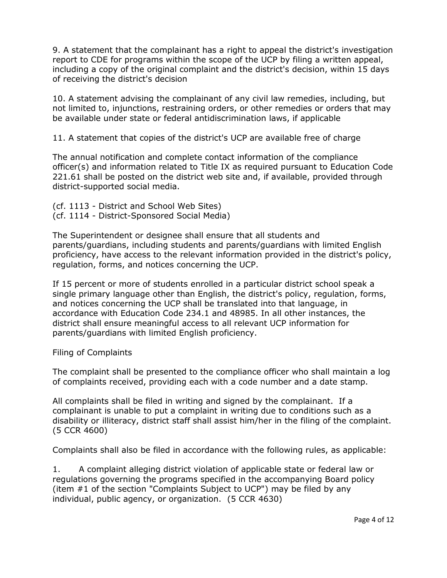9. A statement that the complainant has a right to appeal the district's investigation report to CDE for programs within the scope of the UCP by filing a written appeal, including a copy of the original complaint and the district's decision, within 15 days of receiving the district's decision

10. A statement advising the complainant of any civil law remedies, including, but not limited to, injunctions, restraining orders, or other remedies or orders that may be available under state or federal antidiscrimination laws, if applicable

11. A statement that copies of the district's UCP are available free of charge

The annual notification and complete contact information of the compliance officer(s) and information related to Title IX as required pursuant to Education Code 221.61 shall be posted on the district web site and, if available, provided through district-supported social media.

- (cf. 1113 District and School Web Sites)
- (cf. 1114 District-Sponsored Social Media)

The Superintendent or designee shall ensure that all students and parents/guardians, including students and parents/guardians with limited English proficiency, have access to the relevant information provided in the district's policy, regulation, forms, and notices concerning the UCP.

If 15 percent or more of students enrolled in a particular district school speak a single primary language other than English, the district's policy, regulation, forms, and notices concerning the UCP shall be translated into that language, in accordance with Education Code 234.1 and 48985. In all other instances, the district shall ensure meaningful access to all relevant UCP information for parents/guardians with limited English proficiency.

Filing of Complaints

The complaint shall be presented to the compliance officer who shall maintain a log of complaints received, providing each with a code number and a date stamp.

All complaints shall be filed in writing and signed by the complainant. If a complainant is unable to put a complaint in writing due to conditions such as a disability or illiteracy, district staff shall assist him/her in the filing of the complaint. (5 CCR 4600)

Complaints shall also be filed in accordance with the following rules, as applicable:

1. A complaint alleging district violation of applicable state or federal law or regulations governing the programs specified in the accompanying Board policy (item #1 of the section "Complaints Subject to UCP") may be filed by any individual, public agency, or organization. (5 CCR 4630)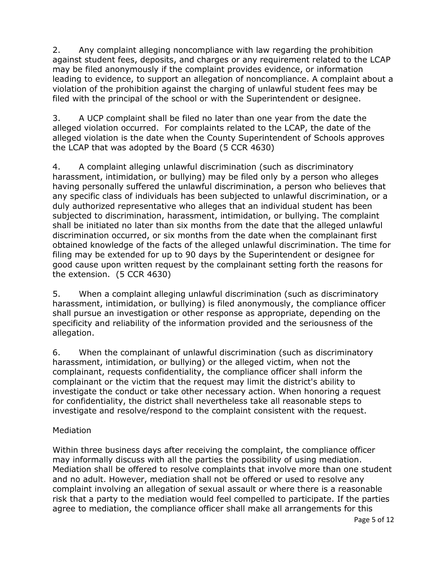2. Any complaint alleging noncompliance with law regarding the prohibition against student fees, deposits, and charges or any requirement related to the LCAP may be filed anonymously if the complaint provides evidence, or information leading to evidence, to support an allegation of noncompliance. A complaint about a violation of the prohibition against the charging of unlawful student fees may be filed with the principal of the school or with the Superintendent or designee.

3. A UCP complaint shall be filed no later than one year from the date the alleged violation occurred. For complaints related to the LCAP, the date of the alleged violation is the date when the County Superintendent of Schools approves the LCAP that was adopted by the Board (5 CCR 4630)

4. A complaint alleging unlawful discrimination (such as discriminatory harassment, intimidation, or bullying) may be filed only by a person who alleges having personally suffered the unlawful discrimination, a person who believes that any specific class of individuals has been subjected to unlawful discrimination, or a duly authorized representative who alleges that an individual student has been subjected to discrimination, harassment, intimidation, or bullying. The complaint shall be initiated no later than six months from the date that the alleged unlawful discrimination occurred, or six months from the date when the complainant first obtained knowledge of the facts of the alleged unlawful discrimination. The time for filing may be extended for up to 90 days by the Superintendent or designee for good cause upon written request by the complainant setting forth the reasons for the extension. (5 CCR 4630)

5. When a complaint alleging unlawful discrimination (such as discriminatory harassment, intimidation, or bullying) is filed anonymously, the compliance officer shall pursue an investigation or other response as appropriate, depending on the specificity and reliability of the information provided and the seriousness of the allegation.

6. When the complainant of unlawful discrimination (such as discriminatory harassment, intimidation, or bullying) or the alleged victim, when not the complainant, requests confidentiality, the compliance officer shall inform the complainant or the victim that the request may limit the district's ability to investigate the conduct or take other necessary action. When honoring a request for confidentiality, the district shall nevertheless take all reasonable steps to investigate and resolve/respond to the complaint consistent with the request.

## Mediation

Within three business days after receiving the complaint, the compliance officer may informally discuss with all the parties the possibility of using mediation. Mediation shall be offered to resolve complaints that involve more than one student and no adult. However, mediation shall not be offered or used to resolve any complaint involving an allegation of sexual assault or where there is a reasonable risk that a party to the mediation would feel compelled to participate. If the parties agree to mediation, the compliance officer shall make all arrangements for this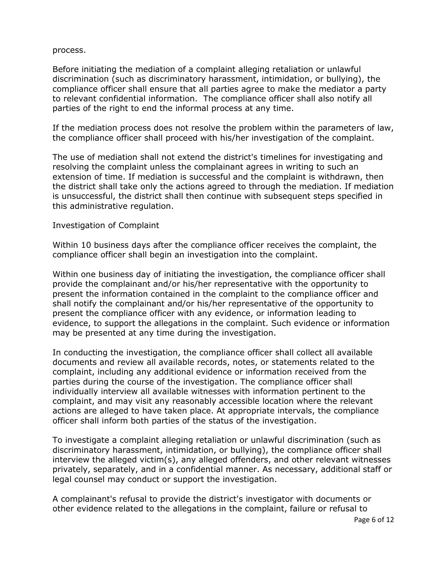process.

Before initiating the mediation of a complaint alleging retaliation or unlawful discrimination (such as discriminatory harassment, intimidation, or bullying), the compliance officer shall ensure that all parties agree to make the mediator a party to relevant confidential information. The compliance officer shall also notify all parties of the right to end the informal process at any time.

If the mediation process does not resolve the problem within the parameters of law, the compliance officer shall proceed with his/her investigation of the complaint.

The use of mediation shall not extend the district's timelines for investigating and resolving the complaint unless the complainant agrees in writing to such an extension of time. If mediation is successful and the complaint is withdrawn, then the district shall take only the actions agreed to through the mediation. If mediation is unsuccessful, the district shall then continue with subsequent steps specified in this administrative regulation.

### Investigation of Complaint

Within 10 business days after the compliance officer receives the complaint, the compliance officer shall begin an investigation into the complaint.

Within one business day of initiating the investigation, the compliance officer shall provide the complainant and/or his/her representative with the opportunity to present the information contained in the complaint to the compliance officer and shall notify the complainant and/or his/her representative of the opportunity to present the compliance officer with any evidence, or information leading to evidence, to support the allegations in the complaint. Such evidence or information may be presented at any time during the investigation.

In conducting the investigation, the compliance officer shall collect all available documents and review all available records, notes, or statements related to the complaint, including any additional evidence or information received from the parties during the course of the investigation. The compliance officer shall individually interview all available witnesses with information pertinent to the complaint, and may visit any reasonably accessible location where the relevant actions are alleged to have taken place. At appropriate intervals, the compliance officer shall inform both parties of the status of the investigation.

To investigate a complaint alleging retaliation or unlawful discrimination (such as discriminatory harassment, intimidation, or bullying), the compliance officer shall interview the alleged victim(s), any alleged offenders, and other relevant witnesses privately, separately, and in a confidential manner. As necessary, additional staff or legal counsel may conduct or support the investigation.

A complainant's refusal to provide the district's investigator with documents or other evidence related to the allegations in the complaint, failure or refusal to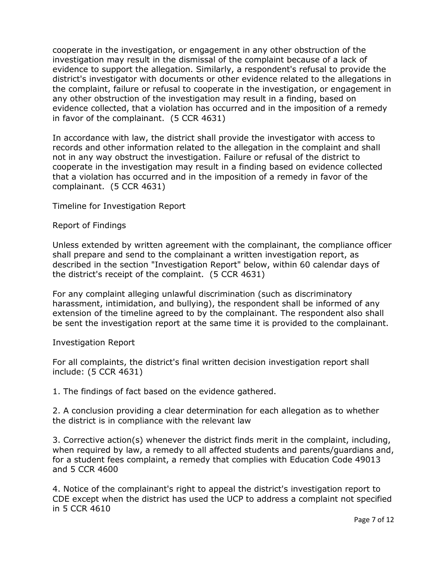cooperate in the investigation, or engagement in any other obstruction of the investigation may result in the dismissal of the complaint because of a lack of evidence to support the allegation. Similarly, a respondent's refusal to provide the district's investigator with documents or other evidence related to the allegations in the complaint, failure or refusal to cooperate in the investigation, or engagement in any other obstruction of the investigation may result in a finding, based on evidence collected, that a violation has occurred and in the imposition of a remedy in favor of the complainant. (5 CCR 4631)

In accordance with law, the district shall provide the investigator with access to records and other information related to the allegation in the complaint and shall not in any way obstruct the investigation. Failure or refusal of the district to cooperate in the investigation may result in a finding based on evidence collected that a violation has occurred and in the imposition of a remedy in favor of the complainant. (5 CCR 4631)

Timeline for Investigation Report

#### Report of Findings

Unless extended by written agreement with the complainant, the compliance officer shall prepare and send to the complainant a written investigation report, as described in the section "Investigation Report" below, within 60 calendar days of the district's receipt of the complaint. (5 CCR 4631)

For any complaint alleging unlawful discrimination (such as discriminatory harassment, intimidation, and bullying), the respondent shall be informed of any extension of the timeline agreed to by the complainant. The respondent also shall be sent the investigation report at the same time it is provided to the complainant.

#### Investigation Report

For all complaints, the district's final written decision investigation report shall include: (5 CCR 4631)

1. The findings of fact based on the evidence gathered.

2. A conclusion providing a clear determination for each allegation as to whether the district is in compliance with the relevant law

3. Corrective action(s) whenever the district finds merit in the complaint, including, when required by law, a remedy to all affected students and parents/guardians and, for a student fees complaint, a remedy that complies with Education Code 49013 and 5 CCR 4600

4. Notice of the complainant's right to appeal the district's investigation report to CDE except when the district has used the UCP to address a complaint not specified in 5 CCR 4610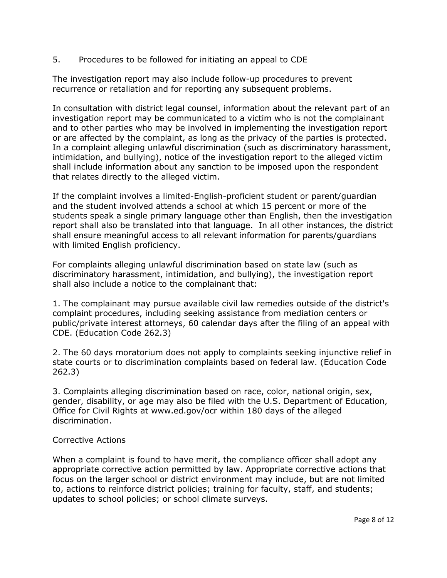5. Procedures to be followed for initiating an appeal to CDE

The investigation report may also include follow-up procedures to prevent recurrence or retaliation and for reporting any subsequent problems.

In consultation with district legal counsel, information about the relevant part of an investigation report may be communicated to a victim who is not the complainant and to other parties who may be involved in implementing the investigation report or are affected by the complaint, as long as the privacy of the parties is protected. In a complaint alleging unlawful discrimination (such as discriminatory harassment, intimidation, and bullying), notice of the investigation report to the alleged victim shall include information about any sanction to be imposed upon the respondent that relates directly to the alleged victim.

If the complaint involves a limited-English-proficient student or parent/guardian and the student involved attends a school at which 15 percent or more of the students speak a single primary language other than English, then the investigation report shall also be translated into that language. In all other instances, the district shall ensure meaningful access to all relevant information for parents/guardians with limited English proficiency.

For complaints alleging unlawful discrimination based on state law (such as discriminatory harassment, intimidation, and bullying), the investigation report shall also include a notice to the complainant that:

1. The complainant may pursue available civil law remedies outside of the district's complaint procedures, including seeking assistance from mediation centers or public/private interest attorneys, 60 calendar days after the filing of an appeal with CDE. (Education Code 262.3)

2. The 60 days moratorium does not apply to complaints seeking injunctive relief in state courts or to discrimination complaints based on federal law. (Education Code 262.3)

3. Complaints alleging discrimination based on race, color, national origin, sex, gender, disability, or age may also be filed with the U.S. Department of Education, Office for Civil Rights at www.ed.gov/ocr within 180 days of the alleged discrimination.

## Corrective Actions

When a complaint is found to have merit, the compliance officer shall adopt any appropriate corrective action permitted by law. Appropriate corrective actions that focus on the larger school or district environment may include, but are not limited to, actions to reinforce district policies; training for faculty, staff, and students; updates to school policies; or school climate surveys.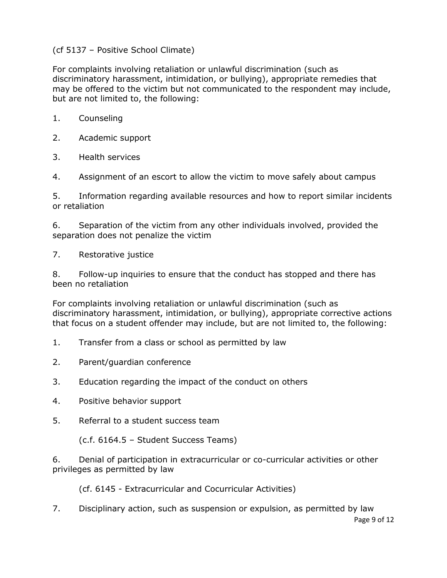## (cf 5137 – Positive School Climate)

For complaints involving retaliation or unlawful discrimination (such as discriminatory harassment, intimidation, or bullying), appropriate remedies that may be offered to the victim but not communicated to the respondent may include, but are not limited to, the following:

- 1. Counseling
- 2. Academic support
- 3. Health services
- 4. Assignment of an escort to allow the victim to move safely about campus

5. Information regarding available resources and how to report similar incidents or retaliation

6. Separation of the victim from any other individuals involved, provided the separation does not penalize the victim

7. Restorative justice

8. Follow-up inquiries to ensure that the conduct has stopped and there has been no retaliation

For complaints involving retaliation or unlawful discrimination (such as discriminatory harassment, intimidation, or bullying), appropriate corrective actions that focus on a student offender may include, but are not limited to, the following:

- 1. Transfer from a class or school as permitted by law
- 2. Parent/guardian conference
- 3. Education regarding the impact of the conduct on others
- 4. Positive behavior support
- 5. Referral to a student success team

(c.f. 6164.5 – Student Success Teams)

6. Denial of participation in extracurricular or co-curricular activities or other privileges as permitted by law

(cf. 6145 - Extracurricular and Cocurricular Activities)

Page 9 of 12 7. Disciplinary action, such as suspension or expulsion, as permitted by law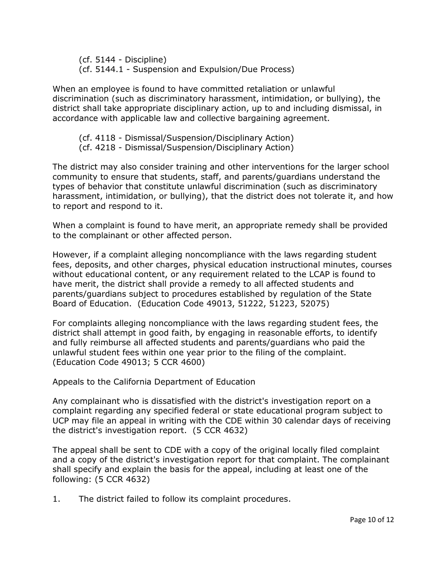(cf. 5144 - Discipline) (cf. 5144.1 - Suspension and Expulsion/Due Process)

When an employee is found to have committed retaliation or unlawful discrimination (such as discriminatory harassment, intimidation, or bullying), the district shall take appropriate disciplinary action, up to and including dismissal, in accordance with applicable law and collective bargaining agreement.

(cf. 4118 - Dismissal/Suspension/Disciplinary Action) (cf. 4218 - Dismissal/Suspension/Disciplinary Action)

The district may also consider training and other interventions for the larger school community to ensure that students, staff, and parents/guardians understand the types of behavior that constitute unlawful discrimination (such as discriminatory harassment, intimidation, or bullying), that the district does not tolerate it, and how to report and respond to it.

When a complaint is found to have merit, an appropriate remedy shall be provided to the complainant or other affected person.

However, if a complaint alleging noncompliance with the laws regarding student fees, deposits, and other charges, physical education instructional minutes, courses without educational content, or any requirement related to the LCAP is found to have merit, the district shall provide a remedy to all affected students and parents/guardians subject to procedures established by regulation of the State Board of Education. (Education Code 49013, 51222, 51223, 52075)

For complaints alleging noncompliance with the laws regarding student fees, the district shall attempt in good faith, by engaging in reasonable efforts, to identify and fully reimburse all affected students and parents/guardians who paid the unlawful student fees within one year prior to the filing of the complaint. (Education Code 49013; 5 CCR 4600)

Appeals to the California Department of Education

Any complainant who is dissatisfied with the district's investigation report on a complaint regarding any specified federal or state educational program subject to UCP may file an appeal in writing with the CDE within 30 calendar days of receiving the district's investigation report. (5 CCR 4632)

The appeal shall be sent to CDE with a copy of the original locally filed complaint and a copy of the district's investigation report for that complaint. The complainant shall specify and explain the basis for the appeal, including at least one of the following: (5 CCR 4632)

1. The district failed to follow its complaint procedures.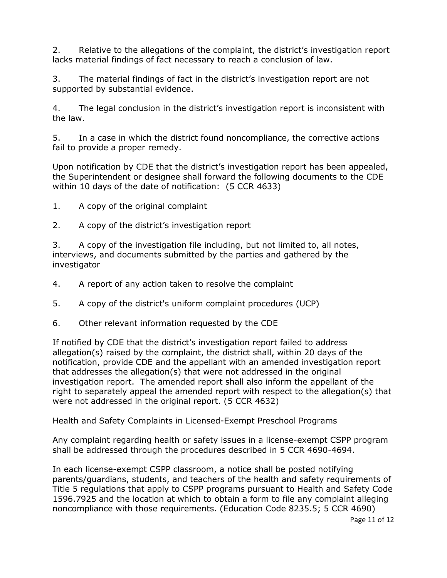2. Relative to the allegations of the complaint, the district's investigation report lacks material findings of fact necessary to reach a conclusion of law.

3. The material findings of fact in the district's investigation report are not supported by substantial evidence.

4. The legal conclusion in the district's investigation report is inconsistent with the law.

5. In a case in which the district found noncompliance, the corrective actions fail to provide a proper remedy.

Upon notification by CDE that the district's investigation report has been appealed, the Superintendent or designee shall forward the following documents to the CDE within 10 days of the date of notification: (5 CCR 4633)

- 1. A copy of the original complaint
- 2. A copy of the district's investigation report

3. A copy of the investigation file including, but not limited to, all notes, interviews, and documents submitted by the parties and gathered by the investigator

- 4. A report of any action taken to resolve the complaint
- 5. A copy of the district's uniform complaint procedures (UCP)
- 6. Other relevant information requested by the CDE

If notified by CDE that the district's investigation report failed to address allegation(s) raised by the complaint, the district shall, within 20 days of the notification, provide CDE and the appellant with an amended investigation report that addresses the allegation(s) that were not addressed in the original investigation report. The amended report shall also inform the appellant of the right to separately appeal the amended report with respect to the allegation(s) that were not addressed in the original report. (5 CCR 4632)

Health and Safety Complaints in Licensed-Exempt Preschool Programs

Any complaint regarding health or safety issues in a license-exempt CSPP program shall be addressed through the procedures described in 5 CCR 4690-4694.

In each license-exempt CSPP classroom, a notice shall be posted notifying parents/guardians, students, and teachers of the health and safety requirements of Title 5 regulations that apply to CSPP programs pursuant to Health and Safety Code 1596.7925 and the location at which to obtain a form to file any complaint alleging noncompliance with those requirements. (Education Code 8235.5; 5 CCR 4690)